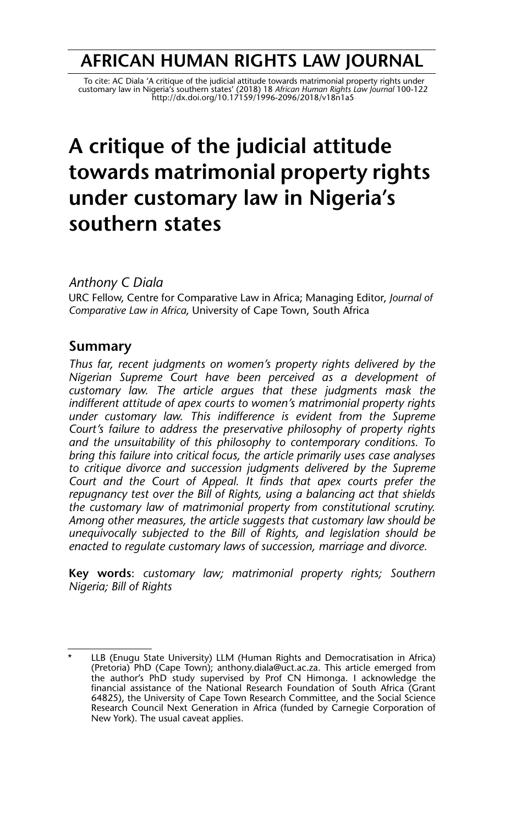## **AFRICAN HUMAN RIGHTS LAW JOURNAL**

To cite: AC Diala 'A critique of the judicial attitude towards matrimonial property rights under<br>customary law in Nigeria's southern states' (2018) 18 Afr*ican Human Rights Law Journal* 100-122<br>http://dx.doi.org/10.17159/1

# **A critique of the judicial attitude towards matrimonial property rights under customary law in Nigeria's southern states**

*Anthony C Diala*

URC Fellow, Centre for Comparative Law in Africa; Managing Editor, *Journal of Comparative Law in Africa*, University of Cape Town, South Africa

## **Summary**

*Thus far, recent judgments on women's property rights delivered by the Nigerian Supreme Court have been perceived as a development of customary law. The article argues that these judgments mask the indifferent attitude of apex courts to women's matrimonial property rights under customary law. This indifference is evident from the Supreme Court's failure to address the preservative philosophy of property rights and the unsuitability of this philosophy to contemporary conditions. To bring this failure into critical focus, the article primarily uses case analyses to critique divorce and succession judgments delivered by the Supreme Court and the Court of Appeal. It finds that apex courts prefer the repugnancy test over the Bill of Rights, using a balancing act that shields the customary law of matrimonial property from constitutional scrutiny. Among other measures, the article suggests that customary law should be unequivocally subjected to the Bill of Rights, and legislation should be enacted to regulate customary laws of succession, marriage and divorce.*

**Key words**: *customary law; matrimonial property rights; Southern Nigeria; Bill of Rights* 

LLB (Enugu State University) LLM (Human Rights and Democratisation in Africa) (Pretoria) PhD (Cape Town); anthony.diala@uct.ac.za. This article emerged from the author's PhD study supervised by Prof CN Himonga. I acknowledge the financial assistance of the National Research Foundation of South Africa (Grant 64825), the University of Cape Town Research Committee, and the Social Science Research Council Next Generation in Africa (funded by Carnegie Corporation of New York). The usual caveat applies.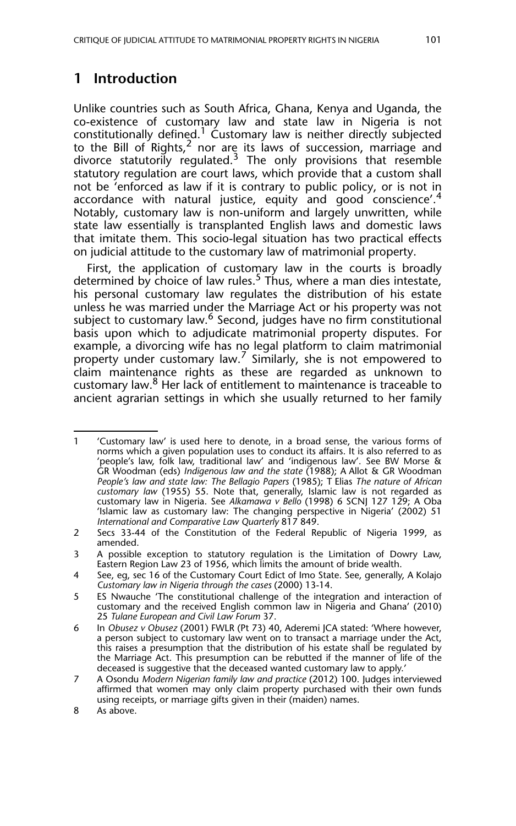## **1 Introduction**

Unlike countries such as South Africa, Ghana, Kenya and Uganda, the co-existence of customary law and state law in Nigeria is not constitutionally defined.<sup>1</sup> Customary law is neither directly subjected to the Bill of Rights, $^2$  nor are its laws of succession, marriage and divorce statutorily regulated.<sup>3</sup> The only provisions that resemble statutory regulation are court laws, which provide that a custom shall not be 'enforced as law if it is contrary to public policy, or is not in accordance with natural justice, equity and good conscience'.<sup>4</sup> Notably, customary law is non-uniform and largely unwritten, while state law essentially is transplanted English laws and domestic laws that imitate them. This socio-legal situation has two practical effects on judicial attitude to the customary law of matrimonial property.

First, the application of customary law in the courts is broadly determined by choice of law rules.<sup>5</sup> Thus, where a man dies intestate, his personal customary law regulates the distribution of his estate unless he was married under the Marriage Act or his property was not subject to customary law.<sup>6</sup> Second, judges have no firm constitutional basis upon which to adjudicate matrimonial property disputes. For example, a divorcing wife has no legal platform to claim matrimonial property under customary law.<sup>7</sup> Similarly, she is not empowered to claim maintenance rights as these are regarded as unknown to customary law.<sup>8</sup> Her lack of entitlement to maintenance is traceable to ancient agrarian settings in which she usually returned to her family

<sup>1 &#</sup>x27;Customary law' is used here to denote, in a broad sense, the various forms of norms which a given population uses to conduct its affairs. It is also referred to as 'people's law, folk law, traditional law' and 'indigenous law'. See BW Morse & GR Woodman (eds) *Indigenous law and the state* (1988); A Allot & GR Woodman *People's law and state law: The Bellagio Papers* (1985); T Elias *The nature of African customary law* (1955) 55. Note that, generally, Islamic law is not regarded as customary law in Nigeria. See *Alkamawa v Bello* (1998) 6 SCNJ 127 129; A Oba 'Islamic law as customary law: The changing perspective in Nigeria' (2002) 51 *International and Comparative Law Quarterly* 817 849.

<sup>2</sup> Secs 33-44 of the Constitution of the Federal Republic of Nigeria 1999, as amended.

<sup>3</sup> A possible exception to statutory regulation is the Limitation of Dowry Law, Eastern Region Law 23 of 1956, which limits the amount of bride wealth.

<sup>4</sup> See, eg, sec 16 of the Customary Court Edict of Imo State. See, generally, A Kolajo *Customary law in Nigeria through the cases* (2000) 13-14.

<sup>5</sup> ES Nwauche 'The constitutional challenge of the integration and interaction of customary and the received English common law in Nigeria and Ghana' (2010) 25 *Tulane European and Civil Law Forum* 37.

<sup>6</sup> In *Obusez v Obusez* (2001) FWLR (Pt 73) 40, Aderemi JCA stated: 'Where however, a person subject to customary law went on to transact a marriage under the Act, this raises a presumption that the distribution of his estate shall be regulated by the Marriage Act. This presumption can be rebutted if the manner of life of the deceased is suggestive that the deceased wanted customary law to apply.'

<sup>7</sup> A Osondu *Modern Nigerian family law and practice* (2012) 100. Judges interviewed affirmed that women may only claim property purchased with their own funds using receipts, or marriage gifts given in their (maiden) names.

<sup>8</sup> As above.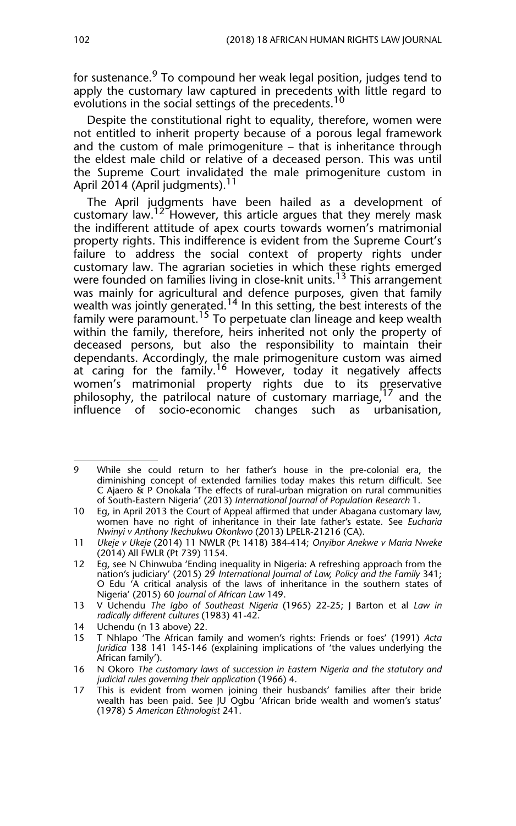for sustenance.<sup>9</sup> To compound her weak legal position, judges tend to apply the customary law captured in precedents with little regard to evolutions in the social settings of the precedents.<sup>10</sup>

Despite the constitutional right to equality, therefore, women were not entitled to inherit property because of a porous legal framework and the custom of male primogeniture – that is inheritance through the eldest male child or relative of a deceased person. This was until the Supreme Court invalidated the male primogeniture custom in April 2014 (April judgments).<sup>11</sup>

The April judgments have been hailed as a development of customary law.<sup>12</sup> However, this article argues that they merely mask the indifferent attitude of apex courts towards women's matrimonial property rights. This indifference is evident from the Supreme Court's failure to address the social context of property rights under customary law. The agrarian societies in which these rights emerged were founded on families living in close-knit units.<sup>13</sup> This arrangement was mainly for agricultural and defence purposes, given that family wealth was jointly generated. $^{14}$  In this setting, the best interests of the family were paramount.<sup>15</sup> To perpetuate clan lineage and keep wealth within the family, therefore, heirs inherited not only the property of deceased persons, but also the responsibility to maintain their dependants. Accordingly, the male primogeniture custom was aimed at caring for the family.<sup>16</sup> However, today it negatively affects women's matrimonial property rights due to its preservative philosophy, the patrilocal nature of customary marriage, <sup>17</sup> and the influence of socio-economic changes such as urbanisation,

<sup>9</sup> While she could return to her father's house in the pre-colonial era, the diminishing concept of extended families today makes this return difficult. See C Ajaero & P Onokala 'The effects of rural-urban migration on rural communities of South-Eastern Nigeria' (2013) *International Journal of Population Research* 1.

<sup>10</sup> Eg, in April 2013 the Court of Appeal affirmed that under Abagana customary law, women have no right of inheritance in their late father's estate. See *Eucharia Nwinyi v Anthony Ikechukwu Okonkwo* (2013) LPELR-21216 (CA).

<sup>11</sup> *Ukeje v Ukeje* (2014) 11 NWLR (Pt 1418) 384-414; *Onyibor Anekwe v Maria Nweke* (2014) All FWLR (Pt 739) 1154.

<sup>12</sup> Eg, see N Chinwuba 'Ending inequality in Nigeria: A refreshing approach from the nation's judiciary' (2015) 29 *International Journal of Law, Policy and the Family* 341; O Edu 'A critical analysis of the laws of inheritance in the southern states of Nigeria' (2015) 60 *Journal of African Law* 149.

<sup>13</sup> V Uchendu *The Igbo of Southeast Nigeria* (1965) 22-25; J Barton et al *Law in radically different cultures* (1983) 41-42.

<sup>14</sup> Uchendu (n 13 above) 22.

<sup>15</sup> T Nhlapo 'The African family and women's rights: Friends or foes' (1991) *Acta Juridica* 138 141 145-146 (explaining implications of 'the values underlying the African family').

<sup>16</sup> N Okoro *The customary laws of succession in Eastern Nigeria and the statutory and judicial rules governing their application* (1966) 4.

<sup>17</sup> This is evident from women joining their husbands' families after their bride wealth has been paid. See JU Ogbu 'African bride wealth and women's status' (1978) 5 *American Ethnologist* 241.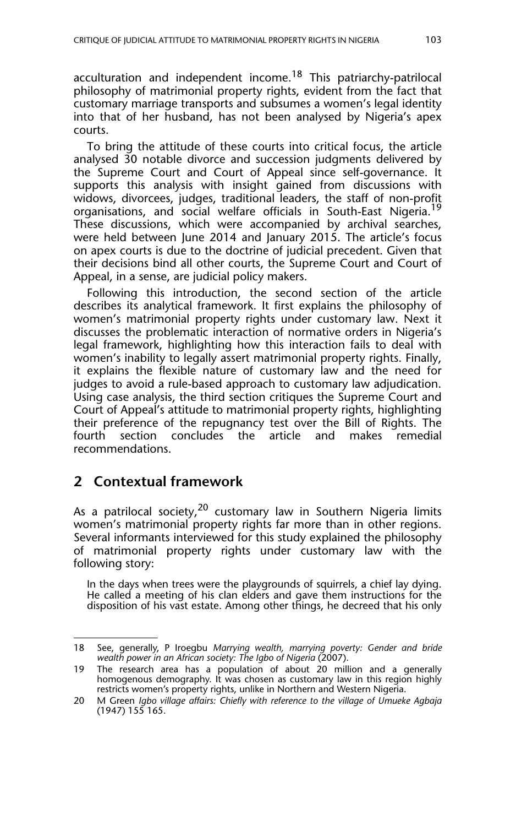acculturation and independent income.<sup>18</sup> This patriarchy-patrilocal philosophy of matrimonial property rights, evident from the fact that customary marriage transports and subsumes a women's legal identity into that of her husband, has not been analysed by Nigeria's apex courts.

To bring the attitude of these courts into critical focus, the article analysed 30 notable divorce and succession judgments delivered by the Supreme Court and Court of Appeal since self-governance. It supports this analysis with insight gained from discussions with widows, divorcees, judges, traditional leaders, the staff of non-profit organisations, and social welfare officials in South-East Nigeria.<sup>19</sup> These discussions, which were accompanied by archival searches, were held between June 2014 and January 2015. The article's focus on apex courts is due to the doctrine of judicial precedent. Given that their decisions bind all other courts, the Supreme Court and Court of Appeal, in a sense, are judicial policy makers.

Following this introduction, the second section of the article describes its analytical framework. It first explains the philosophy of women's matrimonial property rights under customary law. Next it discusses the problematic interaction of normative orders in Nigeria's legal framework, highlighting how this interaction fails to deal with women's inability to legally assert matrimonial property rights. Finally, it explains the flexible nature of customary law and the need for judges to avoid a rule-based approach to customary law adjudication. Using case analysis, the third section critiques the Supreme Court and Court of Appeal's attitude to matrimonial property rights, highlighting their preference of the repugnancy test over the Bill of Rights. The fourth section concludes the article and makes remedial section concludes the article and makes remedial recommendations.

## **2 Contextual framework**

As a patrilocal society,  $20$  customary law in Southern Nigeria limits women's matrimonial property rights far more than in other regions. Several informants interviewed for this study explained the philosophy of matrimonial property rights under customary law with the following story:

In the days when trees were the playgrounds of squirrels, a chief lay dying. He called a meeting of his clan elders and gave them instructions for the disposition of his vast estate. Among other things, he decreed that his only

<sup>18</sup> See, generally, P Iroegbu *Marrying wealth, marrying poverty: Gender and bride wealth power in an African society: The Igbo of Nigeria* (2007).

<sup>19</sup> The research area has a population of about 20 million and a generally homogenous demography. It was chosen as customary law in this region highly restricts women's property rights, unlike in Northern and Western Nigeria.

<sup>20</sup> M Green *Igbo village affairs: Chiefly with reference to the village of Umueke Agbaja* (1947) 155 165.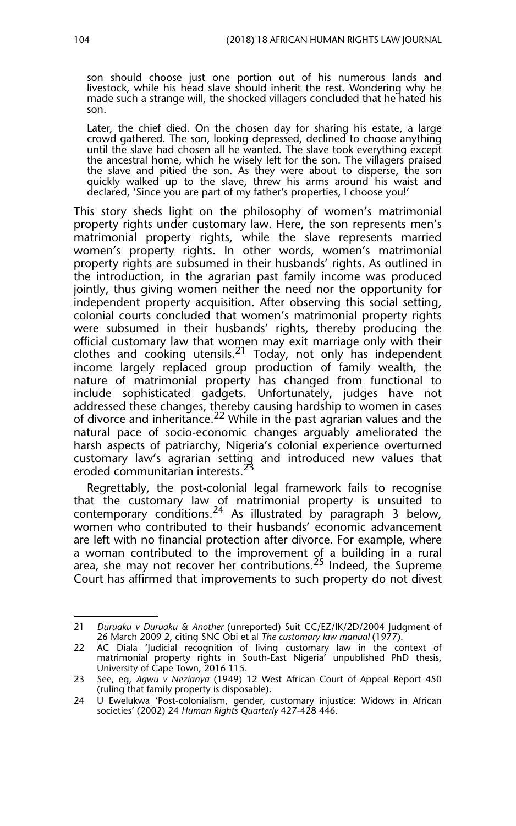son should choose just one portion out of his numerous lands and livestock, while his head slave should inherit the rest. Wondering why he made such a strange will, the shocked villagers concluded that he hated his son.

Later, the chief died. On the chosen day for sharing his estate, a large crowd gathered. The son, looking depressed, declined to choose anything until the slave had chosen all he wanted. The slave took everything except the ancestral home, which he wisely left for the son. The villagers praised the slave and pitied the son. As they were about to disperse, the son quickly walked up to the slave, threw his arms around his waist and declared, 'Since you are part of my father's properties, I choose you!'

This story sheds light on the philosophy of women's matrimonial property rights under customary law. Here, the son represents men's matrimonial property rights, while the slave represents married women's property rights. In other words, women's matrimonial property rights are subsumed in their husbands' rights. As outlined in the introduction, in the agrarian past family income was produced jointly, thus giving women neither the need nor the opportunity for independent property acquisition. After observing this social setting, colonial courts concluded that women's matrimonial property rights were subsumed in their husbands' rights, thereby producing the official customary law that women may exit marriage only with their clothes and cooking utensils.<sup>21</sup> Today, not only has independent income largely replaced group production of family wealth, the nature of matrimonial property has changed from functional to include sophisticated gadgets. Unfortunately, judges have not addressed these changes, thereby causing hardship to women in cases of divorce and inheritance.<sup>22</sup> While in the past agrarian values and the natural pace of socio-economic changes arguably ameliorated the harsh aspects of patriarchy, Nigeria's colonial experience overturned customary law's agrarian setting and introduced new values that eroded communitarian interests.<sup>23</sup>

Regrettably, the post-colonial legal framework fails to recognise that the customary law of matrimonial property is unsuited to contemporary conditions.<sup>24</sup> As illustrated by paragraph 3 below, women who contributed to their husbands' economic advancement are left with no financial protection after divorce. For example, where a woman contributed to the improvement of a building in a rural area, she may not recover her contributions.<sup>25</sup> Indeed, the Supreme Court has affirmed that improvements to such property do not divest

<sup>21</sup> *Duruaku v Duruaku & Another* (unreported) Suit CC/EZ/IK/2D/2004 Judgment of 26 March 2009 2, citing SNC Obi et al *The customary law manual* (1977).

<sup>22</sup> AC Diala 'Judicial recognition of living customary law in the context of matrimonial property rights in South-East Nigeria' unpublished PhD thesis, University of Cape Town, 2016 115.

<sup>23</sup> See, eg, *Agwu v Nezianya* (1949) 12 West African Court of Appeal Report 450 (ruling that family property is disposable).

<sup>24</sup> U Ewelukwa 'Post-colonialism, gender, customary injustice: Widows in African societies' (2002) 24 *Human Rights Quarterly* 427-428 446.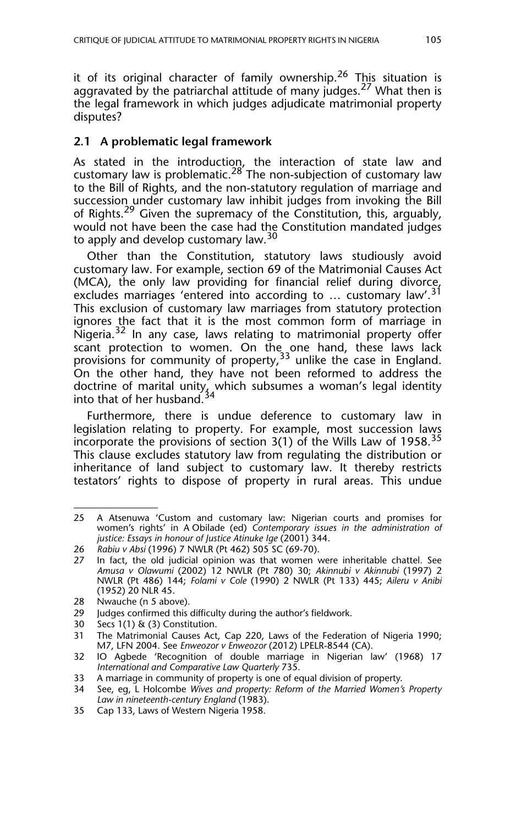it of its original character of family ownership.<sup>26</sup> This situation is aggravated by the patriarchal attitude of many judges.<sup>27</sup> What then is the legal framework in which judges adjudicate matrimonial property disputes?

#### **2.1 A problematic legal framework**

As stated in the introduction, the interaction of state law and customary law is problematic.<sup>28'</sup> The non-subjection of customary law to the Bill of Rights, and the non-statutory regulation of marriage and succession under customary law inhibit judges from invoking the Bill of Rights.<sup>29</sup> Given the supremacy of the Constitution, this, arguably, would not have been the case had the Constitution mandated judges to apply and develop customary law.<sup>30</sup>

Other than the Constitution, statutory laws studiously avoid customary law. For example, section 69 of the Matrimonial Causes Act (MCA), the only law providing for financial relief during divorce, excludes marriages 'entered into according to ... customary law'.<sup>31</sup> This exclusion of customary law marriages from statutory protection ignores the fact that it is the most common form of marriage in Nigeria.<sup>32</sup> In any case, laws relating to matrimonial property offer scant protection to women. On the one hand, these laws lack provisions for community of property,  $33$  unlike the case in England. On the other hand, they have not been reformed to address the doctrine of marital unity, which subsumes a woman's legal identity into that of her husband.<sup>34</sup>

Furthermore, there is undue deference to customary law in legislation relating to property. For example, most succession laws incorporate the provisions of section  $3(1)$  of the Wills Law of 1958.<sup>35</sup> This clause excludes statutory law from regulating the distribution or inheritance of land subject to customary law. It thereby restricts testators' rights to dispose of property in rural areas. This undue

<sup>25</sup> A Atsenuwa 'Custom and customary law: Nigerian courts and promises for women's rights' in A Obilade (ed) *Contemporary issues in the administration of justice: Essays in honour of Justice Atinuke Ige* (2001) 344.

<sup>26</sup> *Rabiu v Absi* (1996) 7 NWLR (Pt 462) 505 SC (69-70).

<sup>27</sup> In fact, the old judicial opinion was that women were inheritable chattel*.* See *Amusa v Olawumi* (2002) 12 NWLR (Pt 780) 30; *Akinnubi v Akinnubi* (1997) 2 NWLR (Pt 486) 144; *Folami v Cole* (1990) 2 NWLR (Pt 133) 445; *Aileru v Anibi* (1952) 20 NLR 45.

<sup>28</sup> Nwauche (n 5 above).

<sup>29</sup> Judges confirmed this difficulty during the author's fieldwork.

<sup>30</sup> Secs 1(1) & (3) Constitution.

<sup>31</sup> The Matrimonial Causes Act, Cap 220, Laws of the Federation of Nigeria 1990; M7, LFN 2004. See *Enweozor v Enweozor* (2012) LPELR-8544 (CA).

<sup>32</sup> IO Agbede 'Recognition of double marriage in Nigerian law' (1968) 17 *International and Comparative Law Quarterly* 735.

<sup>33</sup> A marriage in community of property is one of equal division of property.

<sup>34</sup> See, eg, L Holcombe *Wives and property: Reform of the Married Women's Property Law in nineteenth-century England* (1983).

<sup>35</sup> Cap 133, Laws of Western Nigeria 1958.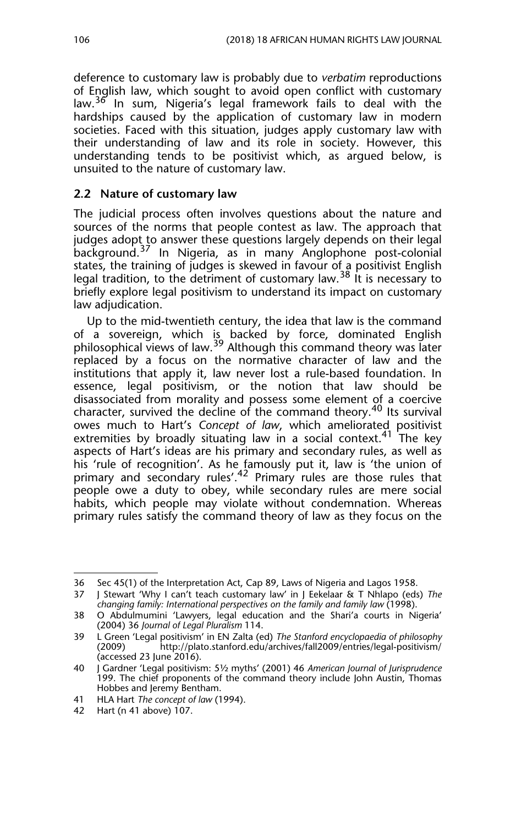deference to customary law is probably due to *verbatim* reproductions of English law, which sought to avoid open conflict with customary law.<sup>36</sup> In sum, Nigeria's legal framework fails to deal with the hardships caused by the application of customary law in modern societies. Faced with this situation, judges apply customary law with their understanding of law and its role in society. However, this understanding tends to be positivist which, as argued below, is unsuited to the nature of customary law.

#### **2.2 Nature of customary law**

The judicial process often involves questions about the nature and sources of the norms that people contest as law. The approach that judges adopt to answer these questions largely depends on their legal background.37 In Nigeria, as in many Anglophone post-colonial states, the training of judges is skewed in favour of a positivist English legal tradition, to the detriment of customary law.<sup>38</sup> It is necessary to briefly explore legal positivism to understand its impact on customary law adjudication.

Up to the mid-twentieth century, the idea that law is the command of a sovereign, which is backed by force, dominated English philosophical views of law.<sup>39</sup> Although this command theory was later replaced by a focus on the normative character of law and the institutions that apply it, law never lost a rule-based foundation. In essence, legal positivism, or the notion that law should be disassociated from morality and possess some element of a coercive character, survived the decline of the command theory.<sup>40</sup> Its survival owes much to Hart's Concept of law, which ameliorated positivist extremities by broadly situating law in a social context.<sup>41</sup> The key aspects of Hart's ideas are his primary and secondary rules, as well as his 'rule of recognition'. As he famously put it, law is 'the union of primary and secondary rules'.42 Primary rules are those rules that people owe a duty to obey, while secondary rules are mere social habits, which people may violate without condemnation. Whereas primary rules satisfy the command theory of law as they focus on the

<sup>36</sup> Sec 45(1) of the Interpretation Act, Cap 89, Laws of Nigeria and Lagos 1958.

<sup>37</sup> J Stewart 'Why I can't teach customary law' in J Eekelaar & T Nhlapo (eds) *The changing family: International perspectives on the family and family law* (1998).

<sup>38</sup> O Abdulmumini 'Lawyers, legal education and the Shari'a courts in Nigeria' (2004) 36 *Journal of Legal Pluralism* 114.

<sup>39</sup> L Green 'Legal positivism' in EN Zalta (ed) *The Stanford encyclopaedia of philosophy* (2009) http://plato.stanford.edu/archives/fall2009/entries/legal-positivism/ (accessed 23 June 2016).

<sup>40</sup> J Gardner 'Legal positivism: 5½ myths' (2001) 46 *American Journal of Jurisprudence* 199. The chief proponents of the command theory include John Austin, Thomas Hobbes and Jeremy Bentham.

<sup>41</sup> HLA Hart *The concept of law* (1994).

<sup>42</sup> Hart (n 41 above) 107.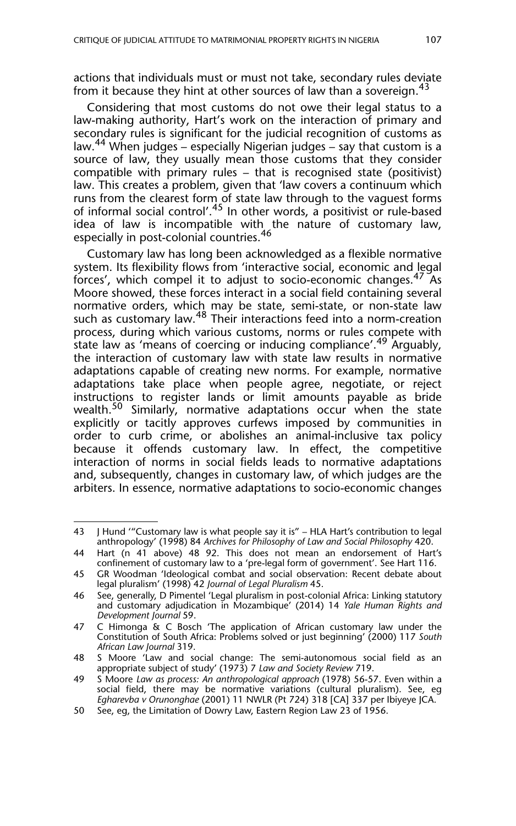actions that individuals must or must not take, secondary rules deviate from it because they hint at other sources of law than a sovereign.<sup>43</sup>

Considering that most customs do not owe their legal status to a law-making authority, Hart's work on the interaction of primary and secondary rules is significant for the judicial recognition of customs as law.<sup>44</sup> When judges – especially Nigerian judges – say that custom is a source of law, they usually mean those customs that they consider compatible with primary rules – that is recognised state (positivist) law. This creates a problem, given that 'law covers a continuum which runs from the clearest form of state law through to the vaguest forms of informal social control'.<sup>45</sup> In other words, a positivist or rule-based idea of law is incompatible with the nature of customary law, especially in post-colonial countries.<sup>46</sup>

Customary law has long been acknowledged as a flexible normative system. Its flexibility flows from 'interactive social, economic and legal forces', which compel it to adjust to socio-economic changes.<sup>47</sup> As Moore showed, these forces interact in a social field containing several normative orders, which may be state, semi-state, or non-state law such as customary law.<sup>48</sup> Their interactions feed into a norm-creation process, during which various customs, norms or rules compete with state law as 'means of coercing or inducing compliance'.<sup>49</sup> Arguably, the interaction of customary law with state law results in normative adaptations capable of creating new norms. For example, normative adaptations take place when people agree, negotiate, or reject instructions to register lands or limit amounts payable as bride wealth.<sup>50</sup> Similarly, normative adaptations occur when the state explicitly or tacitly approves curfews imposed by communities in order to curb crime, or abolishes an animal-inclusive tax policy because it offends customary law. In effect, the competitive interaction of norms in social fields leads to normative adaptations and, subsequently, changes in customary law, of which judges are the arbiters. In essence, normative adaptations to socio-economic changes

<sup>43</sup> J Hund '"Customary law is what people say it is" – HLA Hart's contribution to legal anthropology' (1998) 84 *Archives for Philosophy of Law and Social Philosophy* 420.

<sup>44</sup> Hart (n 41 above) 48 92. This does not mean an endorsement of Hart's confinement of customary law to a 'pre-legal form of government'. See Hart 116.

<sup>45</sup> GR Woodman 'Ideological combat and social observation: Recent debate about legal pluralism' (1998) 42 *Journal of Legal Pluralism* 45.

<sup>46</sup> See, generally, D Pimentel 'Legal pluralism in post-colonial Africa: Linking statutory and customary adjudication in Mozambique' (2014) 14 *Yale Human Rights and Development Journal* 59.

<sup>47</sup> C Himonga & C Bosch 'The application of African customary law under the Constitution of South Africa: Problems solved or just beginning' (2000) 117 *South African Law Journal* 319.

<sup>48</sup> S Moore 'Law and social change: The semi-autonomous social field as an appropriate subject of study' (1973) 7 *Law and Society Review* 719.

<sup>49</sup> S Moore *Law as process: An anthropological approach* (1978) 56-57. Even within a social field, there may be normative variations (cultural pluralism). See, eg *Egharevba v Orunonghae* (2001) 11 NWLR (Pt 724) 318 [CA] 337 per Ibiyeye JCA.

<sup>50</sup> See, eg, the Limitation of Dowry Law, Eastern Region Law 23 of 1956.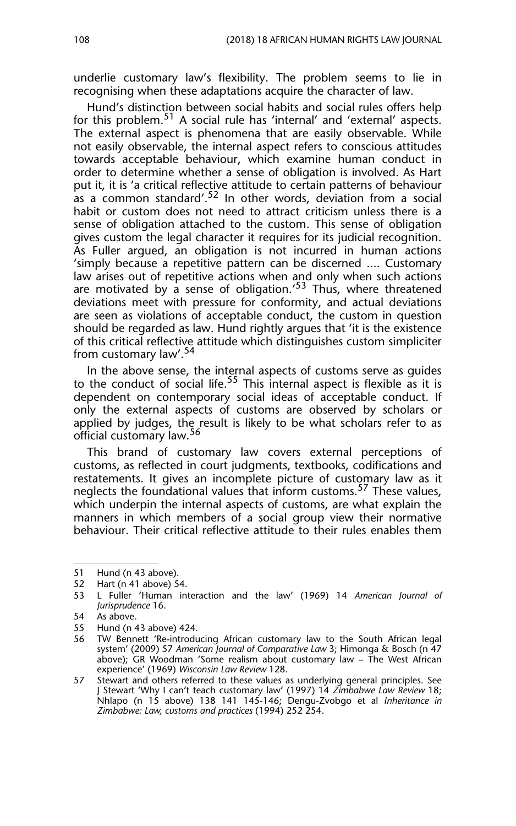underlie customary law's flexibility. The problem seems to lie in recognising when these adaptations acquire the character of law.

Hund's distinction between social habits and social rules offers help for this problem.<sup>51</sup> A social rule has 'internal' and 'external' aspects. The external aspect is phenomena that are easily observable. While not easily observable, the internal aspect refers to conscious attitudes towards acceptable behaviour, which examine human conduct in order to determine whether a sense of obligation is involved. As Hart put it, it is 'a critical reflective attitude to certain patterns of behaviour as a common standard'.<sup>52</sup> In other words, deviation from a social habit or custom does not need to attract criticism unless there is a sense of obligation attached to the custom. This sense of obligation gives custom the legal character it requires for its judicial recognition. As Fuller argued, an obligation is not incurred in human actions 'simply because a repetitive pattern can be discerned .... Customary law arises out of repetitive actions when and only when such actions are motivated by a sense of obligation.<sup>53</sup> Thus, where threatened deviations meet with pressure for conformity, and actual deviations are seen as violations of acceptable conduct, the custom in question should be regarded as law. Hund rightly argues that 'it is the existence of this critical reflective attitude which distinguishes custom simpliciter from customary law'.<sup>54</sup>

In the above sense, the internal aspects of customs serve as guides to the conduct of social life.<sup>55</sup> This internal aspect is flexible as it is dependent on contemporary social ideas of acceptable conduct. If only the external aspects of customs are observed by scholars or applied by judges, the result is likely to be what scholars refer to as official customary law.<sup>56</sup>

This brand of customary law covers external perceptions of customs, as reflected in court judgments, textbooks, codifications and restatements. It gives an incomplete picture of customary law as it neglects the foundational values that inform customs.<sup>57</sup> These values, which underpin the internal aspects of customs, are what explain the manners in which members of a social group view their normative behaviour. Their critical reflective attitude to their rules enables them

<sup>51</sup> Hund (n 43 above).

<sup>52</sup> Hart (n 41 above) 54.

<sup>53</sup> L Fuller 'Human interaction and the law' (1969) 14 *American Journal of Jurisprudence* 16.

<sup>54</sup> As above.<br>55 Hund (n 4

Hund (n 43 above) 424.

<sup>56</sup> TW Bennett 'Re-introducing African customary law to the South African legal system' (2009) 57 *American Journal of Comparative Law* 3; Himonga & Bosch (n 47 above); GR Woodman 'Some realism about customary law – The West African experience' (1969) *Wisconsin Law Review* 128.

<sup>57</sup> Stewart and others referred to these values as underlying general principles. See J Stewart 'Why I can't teach customary law' (1997) 14 *Zimbabwe Law Review* 18; Nhlapo (n 15 above) 138 141 145-146; Dengu-Zvobgo et al *Inheritance in Zimbabwe: Law, customs and practices* (1994) 252 254.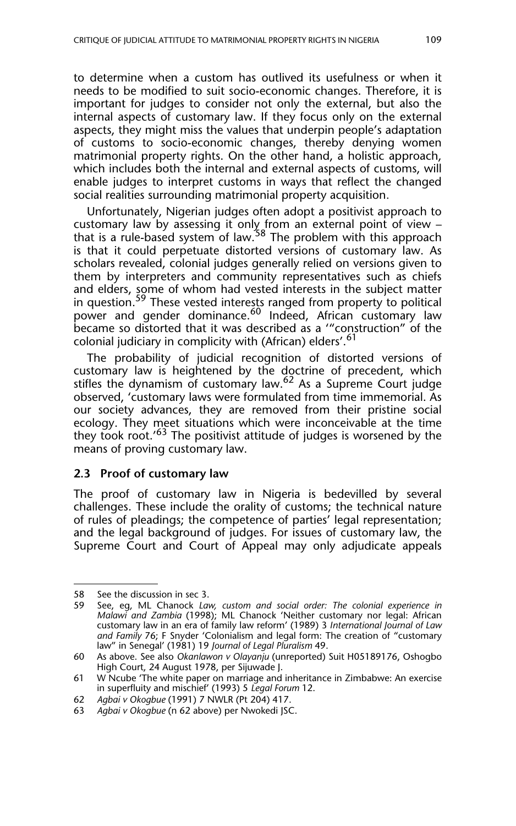to determine when a custom has outlived its usefulness or when it needs to be modified to suit socio-economic changes. Therefore, it is important for judges to consider not only the external, but also the internal aspects of customary law. If they focus only on the external aspects, they might miss the values that underpin people's adaptation of customs to socio-economic changes, thereby denying women matrimonial property rights. On the other hand, a holistic approach, which includes both the internal and external aspects of customs, will enable judges to interpret customs in ways that reflect the changed social realities surrounding matrimonial property acquisition.

Unfortunately, Nigerian judges often adopt a positivist approach to customary law by assessing it only from an external point of view – that is a rule-based system of law.<sup>58</sup> The problem with this approach is that it could perpetuate distorted versions of customary law. As scholars revealed, colonial judges generally relied on versions given to them by interpreters and community representatives such as chiefs and elders, some of whom had vested interests in the subject matter in question.<sup>59</sup> These vested interests ranged from property to political power and gender dominance.<sup>60</sup> Indeed, African customary law became so distorted that it was described as a '"construction" of the colonial judiciary in complicity with (African) elders'.<sup>61</sup>

The probability of judicial recognition of distorted versions of customary law is heightened by the doctrine of precedent, which stifles the dynamism of customary law.<sup>62</sup> As a Supreme Court judge observed, 'customary laws were formulated from time immemorial. As our society advances, they are removed from their pristine social ecology. They meet situations which were inconceivable at the time they took root.' $63$  The positivist attitude of judges is worsened by the means of proving customary law.

#### **2.3 Proof of customary law**

The proof of customary law in Nigeria is bedevilled by several challenges. These include the orality of customs; the technical nature of rules of pleadings; the competence of parties' legal representation; and the legal background of judges. For issues of customary law, the Supreme Court and Court of Appeal may only adjudicate appeals

<sup>58</sup> See the discussion in sec 3.

<sup>59</sup> See, eg, ML Chanock *Law, custom and social order: The colonial experience in Malawi and Zambia* (1998); ML Chanock 'Neither customary nor legal: African customary law in an era of family law reform' (1989) 3 *International Journal of Law and Family* 76; F Snyder 'Colonialism and legal form: The creation of "customary law" in Senegal' (1981) 19 *Journal of Legal Pluralism* 49.

<sup>60</sup> As above. See also *Okanlawon v Olayanju* (unreported) Suit H05189176, Oshogbo High Court, 24 August 1978, per Sijuwade J.

<sup>61</sup> W Ncube 'The white paper on marriage and inheritance in Zimbabwe: An exercise in superfluity and mischief' (1993) 5 *Legal Forum* 12.

<sup>62</sup> *Agbai v Okogbue* (1991) 7 NWLR (Pt 204) 417.

<sup>63</sup> *Agbai v Okogbue* (n 62 above) per Nwokedi JSC.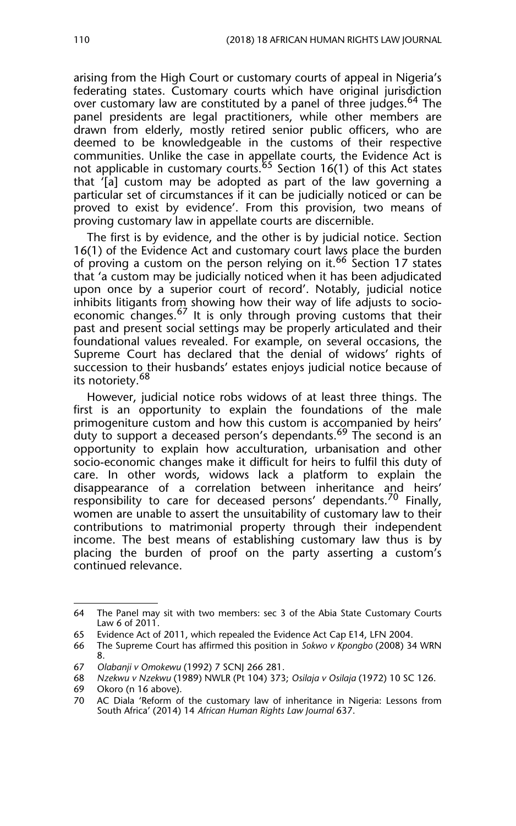arising from the High Court or customary courts of appeal in Nigeria's federating states. Customary courts which have original jurisdiction over customary law are constituted by a panel of three judges.<sup>64</sup> The panel presidents are legal practitioners, while other members are drawn from elderly, mostly retired senior public officers, who are deemed to be knowledgeable in the customs of their respective communities. Unlike the case in appellate courts, the Evidence Act is not applicable in customary courts.<sup>65</sup> Section  $16(1)$  of this Act states that '[a] custom may be adopted as part of the law governing a particular set of circumstances if it can be judicially noticed or can be proved to exist by evidence'. From this provision, two means of proving customary law in appellate courts are discernible.

The first is by evidence, and the other is by judicial notice. Section 16(1) of the Evidence Act and customary court laws place the burden of proving a custom on the person relying on it.<sup>66</sup> Section 17 states that 'a custom may be judicially noticed when it has been adjudicated upon once by a superior court of record'. Notably, judicial notice inhibits litigants from showing how their way of life adjusts to socioeconomic changes.<sup>67</sup> It is only through proving customs that their past and present social settings may be properly articulated and their foundational values revealed. For example, on several occasions, the Supreme Court has declared that the denial of widows' rights of succession to their husbands' estates enjoys judicial notice because of its notoriety.<sup>68</sup>

However, judicial notice robs widows of at least three things. The first is an opportunity to explain the foundations of the male primogeniture custom and how this custom is accompanied by heirs' duty to support a deceased person's dependants.<sup>69</sup> The second is an opportunity to explain how acculturation, urbanisation and other socio-economic changes make it difficult for heirs to fulfil this duty of care. In other words, widows lack a platform to explain the disappearance of a correlation between inheritance and heirs' responsibility to care for deceased persons' dependants.<sup>70</sup> Finally, women are unable to assert the unsuitability of customary law to their contributions to matrimonial property through their independent income. The best means of establishing customary law thus is by placing the burden of proof on the party asserting a custom's continued relevance.

<sup>64</sup> The Panel may sit with two members: sec 3 of the Abia State Customary Courts Law 6 of 2011.

<sup>65</sup> Evidence Act of 2011, which repealed the Evidence Act Cap E14, LFN 2004.

<sup>66</sup> The Supreme Court has affirmed this position in *Sokwo v Kpongbo* (2008) 34 WRN 8.

<sup>67</sup> *Olabanji v Omokewu* (1992) 7 SCNJ 266 281.

<sup>68</sup> *Nzekwu v Nzekwu* (1989) NWLR (Pt 104) 373; *Osilaja v Osilaja* (1972) 10 SC 126.

<sup>69</sup> Okoro (n 16 above).<br>70 AC Diala 'Reform of

AC Diala 'Reform of the customary law of inheritance in Nigeria: Lessons from South Africa' (2014) 14 *African Human Rights Law Journal* 637.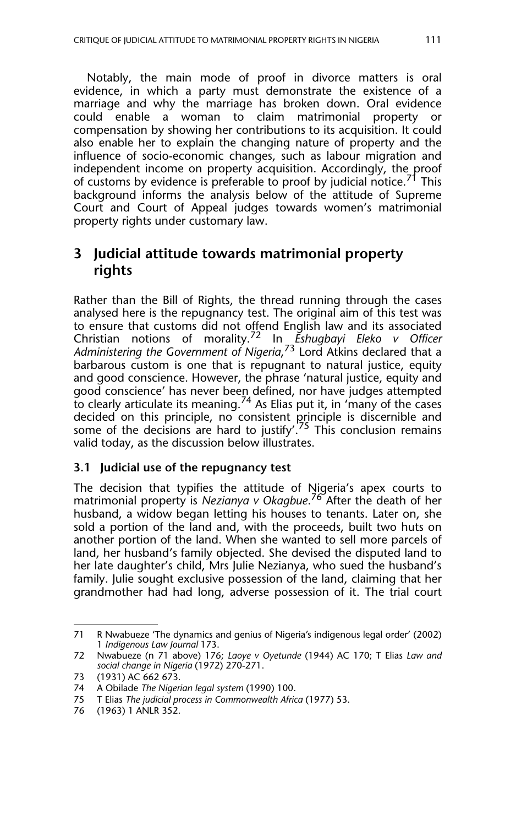Notably, the main mode of proof in divorce matters is oral evidence, in which a party must demonstrate the existence of a marriage and why the marriage has broken down. Oral evidence could enable a woman to claim matrimonial property or compensation by showing her contributions to its acquisition. It could also enable her to explain the changing nature of property and the influence of socio-economic changes, such as labour migration and independent income on property acquisition. Accordingly, the proof of customs by evidence is preferable to proof by judicial notice.<sup>71</sup> This background informs the analysis below of the attitude of Supreme Court and Court of Appeal judges towards women's matrimonial property rights under customary law.

## **3 Judicial attitude towards matrimonial property rights**

Rather than the Bill of Rights, the thread running through the cases analysed here is the repugnancy test. The original aim of this test was to ensure that customs did not offend English law and its associated Christian notions of morality.72 In *Eshugbayi Eleko v Officer Administering the Government of Nigeria*, 73 Lord Atkins declared that a barbarous custom is one that is repugnant to natural justice, equity and good conscience. However, the phrase 'natural justice, equity and good conscience' has never bee<u>n</u> defined, nor have judges attempted to clearly articulate its meaning.<sup>74</sup> As Elias put it, in 'many of the cases decided on this principle, no consistent principle is discernible and some of the decisions are hard to justify'.<sup>75</sup> This conclusion remains valid today, as the discussion below illustrates.

#### **3.1 Judicial use of the repugnancy test**

The decision that typifies the attitude of Nigeria's apex courts to matrimonial property is *Nezianya v Okagbue*. 76 After the death of her husband, a widow began letting his houses to tenants. Later on, she sold a portion of the land and, with the proceeds, built two huts on another portion of the land. When she wanted to sell more parcels of land, her husband's family objected. She devised the disputed land to her late daughter's child, Mrs Julie Nezianya, who sued the husband's family. Julie sought exclusive possession of the land, claiming that her grandmother had had long, adverse possession of it. The trial court

<sup>71</sup> R Nwabueze 'The dynamics and genius of Nigeria's indigenous legal order' (2002) 1 *Indigenous Law Journal* 173.

<sup>72</sup> Nwabueze (n 71 above) 176; *Laoye v Oyetunde* (1944) AC 170; T Elias *Law and social change in Nigeria* (1972) 270-271.

<sup>73 (1931)</sup> AC 662 673.

<sup>74</sup> A Obilade *The Nigerian legal system* (1990) 100.

<sup>75</sup> T Elias *The judicial process in Commonwealth Africa* (1977) 53.

<sup>76 (1963) 1</sup> ANLR 352.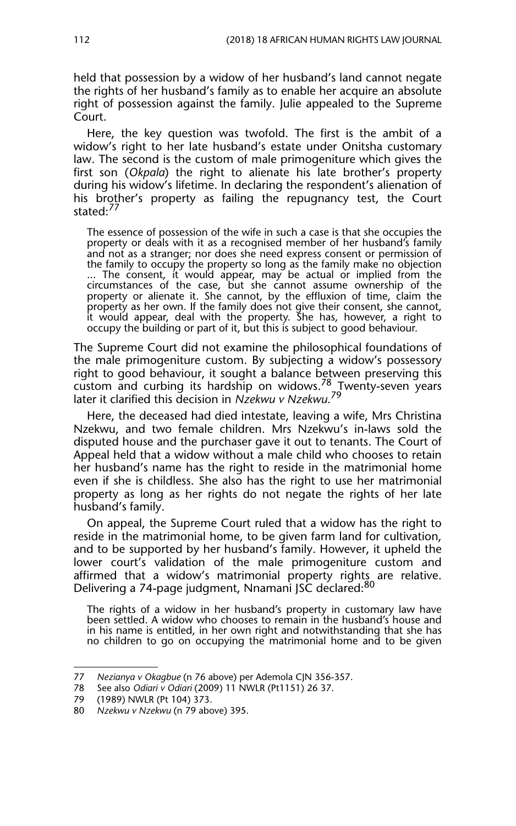held that possession by a widow of her husband's land cannot negate the rights of her husband's family as to enable her acquire an absolute right of possession against the family. Julie appealed to the Supreme Court.

Here, the key question was twofold. The first is the ambit of a widow's right to her late husband's estate under Onitsha customary law. The second is the custom of male primogeniture which gives the first son (*Okpala*) the right to alienate his late brother's property during his widow's lifetime. In declaring the respondent's alienation of his brother's property as failing the repugnancy test, the Court stated:<sup>77</sup>

The essence of possession of the wife in such a case is that she occupies the property or deals with it as a recognised member of her husband's family and not as a stranger; nor does she need express consent or permission of the family to occupy the property so long as the family make no objection ... The consent, it would appear, may be actual or implied from the circumstances of the case, but she cannot assume ownership of the property or alienate it. She cannot, by the effluxion of time, claim the property as her own. If the family does not give their consent, she cannot, it would appear, deal with the property. She has, however, a right to occupy the building or part of it, but this is subject to good behaviour.

The Supreme Court did not examine the philosophical foundations of the male primogeniture custom. By subjecting a widow's possessory right to good behaviour, it sought a balance between preserving this  $\frac{1}{2}$  custom and curbing its hardship on widows.<sup>78</sup> Twenty-seven years later it clarified this decision in *Nzekwu v Nzekwu*. 79

Here, the deceased had died intestate, leaving a wife, Mrs Christina Nzekwu, and two female children. Mrs Nzekwu's in-laws sold the disputed house and the purchaser gave it out to tenants. The Court of Appeal held that a widow without a male child who chooses to retain her husband's name has the right to reside in the matrimonial home even if she is childless. She also has the right to use her matrimonial property as long as her rights do not negate the rights of her late husband's family.

On appeal, the Supreme Court ruled that a widow has the right to reside in the matrimonial home, to be given farm land for cultivation, and to be supported by her husband's family. However, it upheld the lower court's validation of the male primogeniture custom and affirmed that a widow's matrimonial property rights are relative. Delivering a 74-page judgment, Nnamani JSC declared:80

The rights of a widow in her husband's property in customary law have been settled. A widow who chooses to remain in the husband's house and in his name is entitled, in her own right and notwithstanding that she has no children to go on occupying the matrimonial home and to be given

<sup>77</sup> *Nezianya v Okagbue* (n 76 above) per Ademola CJN 356-357.

<sup>78</sup> See also *Odiari v Odiari* (2009) 11 NWLR (Pt1151) 26 37.

<sup>79 (1989)</sup> NWLR (Pt 104) 373.

<sup>80</sup> *Nzekwu v Nzekwu* (n 79 above) 395.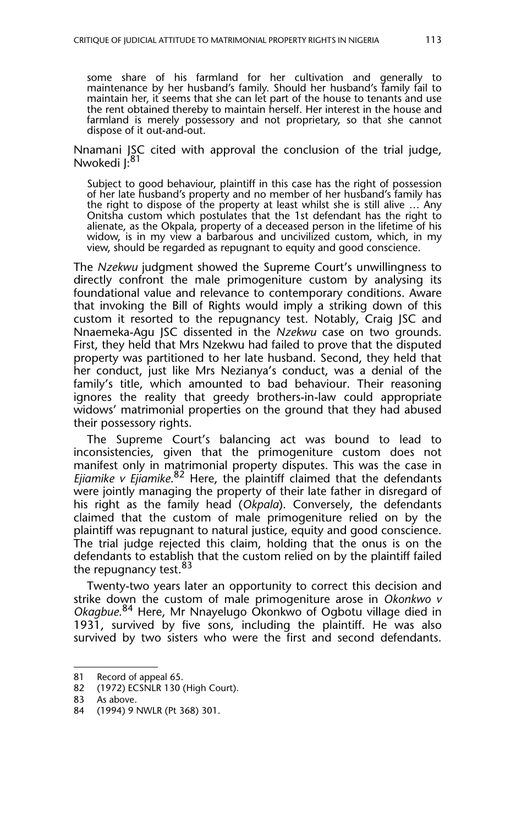some share of his farmland for her cultivation and generally to maintenance by her husband's family. Should her husband's family fail to maintain her, it seems that she can let part of the house to tenants and use the rent obtained thereby to maintain herself. Her interest in the house and farmland is merely possessory and not proprietary, so that she cannot dispose of it out-and-out.

#### Nnamani JSC cited with approval the conclusion of the trial judge, Nwokedi I:<sup>81</sup>

Subject to good behaviour, plaintiff in this case has the right of possession of her late husband's property and no member of her husband's family has the right to dispose of the property at least whilst she is still alive … Any Onitsha custom which postulates that the 1st defendant has the right to alienate, as the Okpala, property of a deceased person in the lifetime of his widow, is in my view a barbarous and uncivilized custom, which, in my view, should be regarded as repugnant to equity and good conscience.

The *Nzekwu* judgment showed the Supreme Court's unwillingness to directly confront the male primogeniture custom by analysing its foundational value and relevance to contemporary conditions. Aware that invoking the Bill of Rights would imply a striking down of this custom it resorted to the repugnancy test. Notably, Craig JSC and Nnaemeka-Agu JSC dissented in the *Nzekwu* case on two grounds. First, they held that Mrs Nzekwu had failed to prove that the disputed property was partitioned to her late husband. Second, they held that her conduct, just like Mrs Nezianya's conduct, was a denial of the family's title, which amounted to bad behaviour. Their reasoning ignores the reality that greedy brothers-in-law could appropriate widows' matrimonial properties on the ground that they had abused their possessory rights.

The Supreme Court's balancing act was bound to lead to inconsistencies, given that the primogeniture custom does not manifest only in matrimonial property disputes. This was the case in *Ejiamike v Ejiamike*. 82 Here, the plaintiff claimed that the defendants were jointly managing the property of their late father in disregard of his right as the family head (*Okpala*). Conversely, the defendants claimed that the custom of male primogeniture relied on by the plaintiff was repugnant to natural justice, equity and good conscience. The trial judge rejected this claim, holding that the onus is on the defendants to establish that the custom relied on by the plaintiff failed the repugnancy test.<sup>83</sup>

Twenty-two years later an opportunity to correct this decision and strike down the custom of male primogeniture arose in *Okonkwo v* Okagbue.<sup>84</sup> Here, Mr Nnayelugo Okonkwo of Ogbotu village died in 1931, survived by five sons, including the plaintiff. He was also survived by two sisters who were the first and second defendants.

<sup>81</sup> Record of appeal 65.

<sup>82 (1972)</sup> ECSNLR 130 (High Court).

<sup>83</sup> As above.

<sup>84 (1994) 9</sup> NWLR (Pt 368) 301.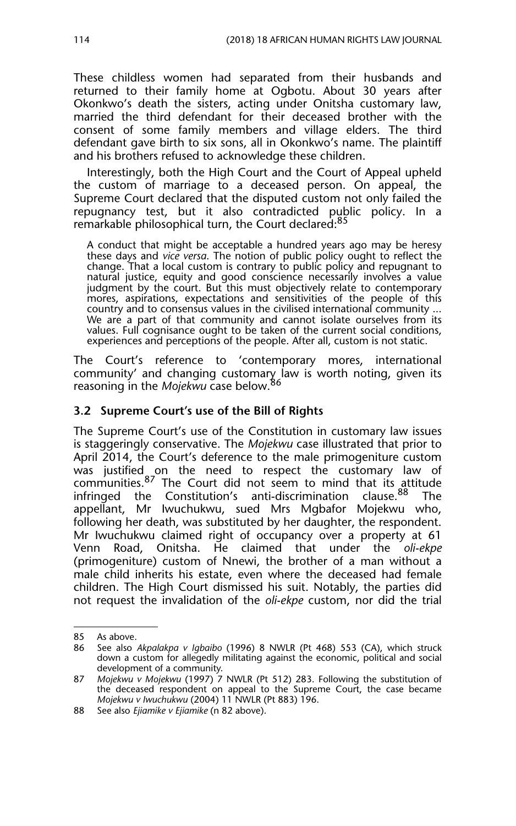These childless women had separated from their husbands and returned to their family home at Ogbotu. About 30 years after Okonkwo's death the sisters, acting under Onitsha customary law, married the third defendant for their deceased brother with the consent of some family members and village elders. The third defendant gave birth to six sons, all in Okonkwo's name. The plaintiff and his brothers refused to acknowledge these children.

Interestingly, both the High Court and the Court of Appeal upheld the custom of marriage to a deceased person. On appeal, the Supreme Court declared that the disputed custom not only failed the repugnancy test, but it also contradicted public policy. In a remarkable philosophical turn, the Court declared:<sup>85</sup>

A conduct that might be acceptable a hundred years ago may be heresy these days and *vice versa*. The notion of public policy ought to reflect the change. That a local custom is contrary to public policy and repugnant to natural justice, equity and good conscience necessarily involves a value judgment by the court. But this must objectively relate to contemporary mores, aspirations, expectations and sensitivities of the people of this country and to consensus values in the civilised international community ... We are a part of that community and cannot isolate ourselves from its values. Full cognisance ought to be taken of the current social conditions, experiences and perceptions of the people. After all, custom is not static.

The Court's reference to 'contemporary mores, international community' and changing customary law is worth noting, given its reasoning in the *Mojekwu* case below.<sup>86</sup>

#### **3.2 Supreme Court's use of the Bill of Rights**

The Supreme Court's use of the Constitution in customary law issues is staggeringly conservative. The *Mojekwu* case illustrated that prior to April 2014, the Court's deference to the male primogeniture custom was justified on the need to respect the customary law of communities. $87$  The Court did not seem to mind that its attitude infringed the Constitution's anti-discrimination clause.<sup>88</sup> The appellant, Mr Iwuchukwu, sued Mrs Mgbafor Mojekwu who, following her death, was substituted by her daughter, the respondent. Mr Iwuchukwu claimed right of occupancy over a property at 61 Venn Road, Onitsha. He claimed that under the *oli-ekpe* (primogeniture) custom of Nnewi, the brother of a man without a male child inherits his estate, even where the deceased had female children. The High Court dismissed his suit. Notably, the parties did not request the invalidation of the *oli-ekpe* custom, nor did the trial

<sup>85</sup> As above.

<sup>86</sup> See also *Akpalakpa v Igbaibo* (1996) 8 NWLR (Pt 468) 553 (CA), which struck down a custom for allegedly militating against the economic, political and social development of a community.

<sup>87</sup> *Mojekwu v Mojekwu* (1997) 7 NWLR (Pt 512) 283. Following the substitution of the deceased respondent on appeal to the Supreme Court, the case became *Mojekwu v Iwuchukwu* (2004) 11 NWLR (Pt 883) 196.

<sup>88</sup> See also *Ejiamike v Ejiamike* (n 82 above).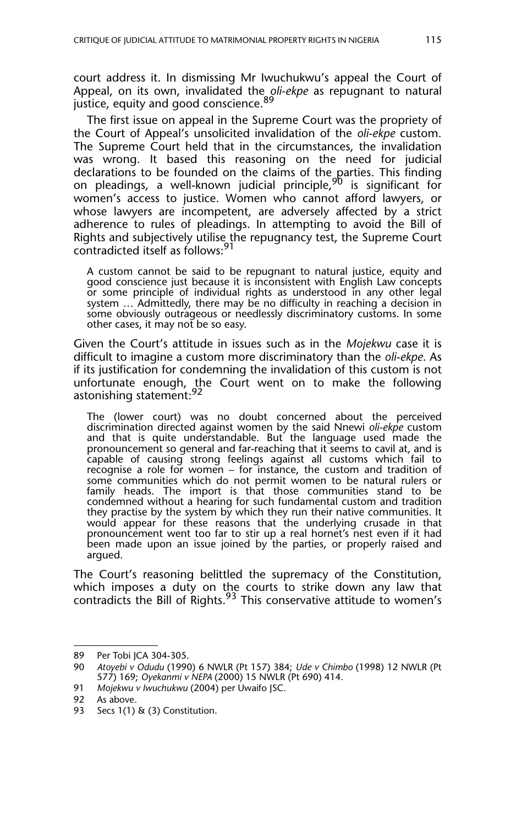court address it. In dismissing Mr Iwuchukwu's appeal the Court of Appeal, on its own, invalidated the *oli-ekpe* as repugnant to natural justice, equity and good conscience. 89

The first issue on appeal in the Supreme Court was the propriety of the Court of Appeal's unsolicited invalidation of the *oli-ekpe* custom. The Supreme Court held that in the circumstances, the invalidation was wrong. It based this reasoning on the need for judicial declarations to be founded on the claims of the parties. This finding on pleadings, a well-known judicial principle,<sup>90</sup> is significant for women's access to justice. Women who cannot afford lawyers, or whose lawyers are incompetent, are adversely affected by a strict adherence to rules of pleadings. In attempting to avoid the Bill of Rights and subjectively utilise the repugnancy test, the Supreme Court contradicted itself as follows:<sup>91</sup>

A custom cannot be said to be repugnant to natural justice, equity and good conscience just because it is inconsistent with English Law concepts or some principle of individual rights as understood in any other legal system … Admittedly, there may be no difficulty in reaching a decision in some obviously outrageous or needlessly discriminatory customs. In some other cases, it may not be so easy.

Given the Court's attitude in issues such as in the *Mojekwu* case it is difficult to imagine a custom more discriminatory than the *oli-ekpe*. As if its justification for condemning the invalidation of this custom is not unfortunate enough, the Court went on to make the following astonishing statement:<sup>92</sup>

The (lower court) was no doubt concerned about the perceived discrimination directed against women by the said Nnewi *oli-ekpe* custom and that is quite understandable. But the language used made the pronouncement so general and far-reaching that it seems to cavil at, and is capable of causing strong feelings against all customs which fail to recognise a role for women – for instance, the custom and tradition of some communities which do not permit women to be natural rulers or family heads. The import is that those communities stand to be condemned without a hearing for such fundamental custom and tradition they practise by the system by which they run their native communities. It would appear for these reasons that the underlying crusade in that pronouncement went too far to stir up a real hornet's nest even if it had been made upon an issue joined by the parties, or properly raised and argued.

The Court's reasoning belittled the supremacy of the Constitution, which imposes a duty on the courts to strike down any law that contradicts the Bill of Rights. $93$  This conservative attitude to women's

<sup>89</sup> Per Tobi JCA 304-305.<br>90 Atovebi v Odudu (1990

<sup>90</sup> *Atoyebi v Odudu* (1990) 6 NWLR (Pt 157) 384; *Ude v Chimbo* (1998) 12 NWLR (Pt 577) 169; *Oyekanmi v NEPA* (2000) 15 NWLR (Pt 690) 414.

<sup>91</sup> *Mojekwu v Iwuchukwu* (2004) per Uwaifo JSC.

As above.

<sup>93</sup> Secs 1(1) & (3) Constitution.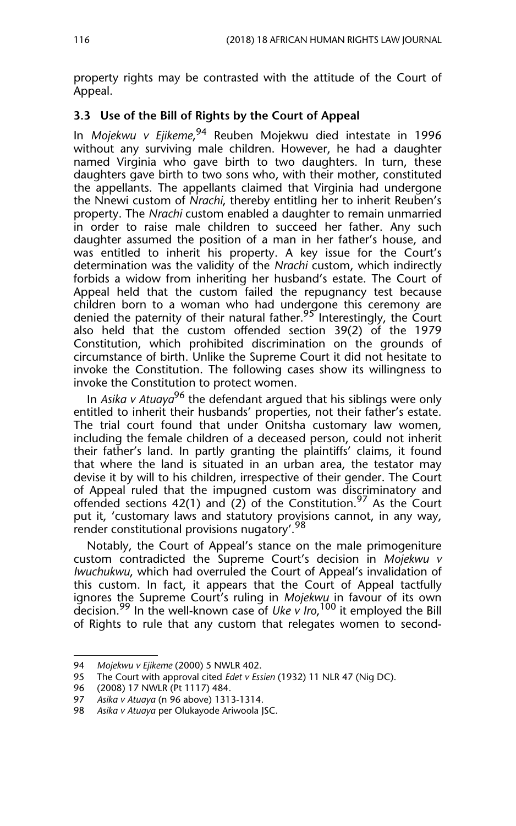property rights may be contrasted with the attitude of the Court of Appeal.

#### **3.3 Use of the Bill of Rights by the Court of Appeal**

In *Mojekwu v Ejikeme*, 94 Reuben Mojekwu died intestate in 1996 without any surviving male children. However, he had a daughter named Virginia who gave birth to two daughters. In turn, these daughters gave birth to two sons who, with their mother, constituted the appellants. The appellants claimed that Virginia had undergone the Nnewi custom of *Nrachi*, thereby entitling her to inherit Reuben's property. The *Nrachi* custom enabled a daughter to remain unmarried in order to raise male children to succeed her father. Any such daughter assumed the position of a man in her father's house, and was entitled to inherit his property. A key issue for the Court's determination was the validity of the *Nrachi* custom, which indirectly forbids a widow from inheriting her husband's estate. The Court of Appeal held that the custom failed the repugnancy test because children born to a woman who had undergone this ceremony are denied the paternity of their natural father.<sup>95</sup> Interestingly, the Court also held that the custom offended section 39(2) of the 1979 Constitution, which prohibited discrimination on the grounds of circumstance of birth. Unlike the Supreme Court it did not hesitate to invoke the Constitution. The following cases show its willingness to invoke the Constitution to protect women.

In *Asika v Atuaya*<sup>96</sup> the defendant argued that his siblings were only entitled to inherit their husbands' properties, not their father's estate. The trial court found that under Onitsha customary law women, including the female children of a deceased person, could not inherit their father's land. In partly granting the plaintiffs' claims, it found that where the land is situated in an urban area, the testator may devise it by will to his children, irrespective of their gender. The Court of Appeal ruled that the impugned custom was discriminatory and offended sections 42(1) and (2) of the Constitution.<sup>97</sup> As the Court put it, 'customary laws and statutory provisions cannot, in any way, render constitutional provisions nugatory'.<sup>98</sup>

Notably, the Court of Appeal's stance on the male primogeniture custom contradicted the Supreme Court's decision in *Mojekwu v Iwuchukwu*, which had overruled the Court of Appeal's invalidation of this custom. In fact, it appears that the Court of Appeal tactfully ignores the Supreme Court's ruling in *Mojekwu* in favour of its own decision.99 In the well-known case of *Uke v Iro*, 100 it employed the Bill of Rights to rule that any custom that relegates women to second-

<sup>94</sup> *Mojekwu v Ejikeme* (2000) 5 NWLR 402.

<sup>95</sup> The Court with approval cited *Edet v Essien* (1932) 11 NLR 47 (Nig DC).

<sup>96 (2008) 17</sup> NWLR (Pt 1117) 484.

<sup>97</sup> *Asika v Atuaya* (n 96 above) 1313-1314.

<sup>98</sup> *Asika v Atuaya* per Olukayode Ariwoola JSC.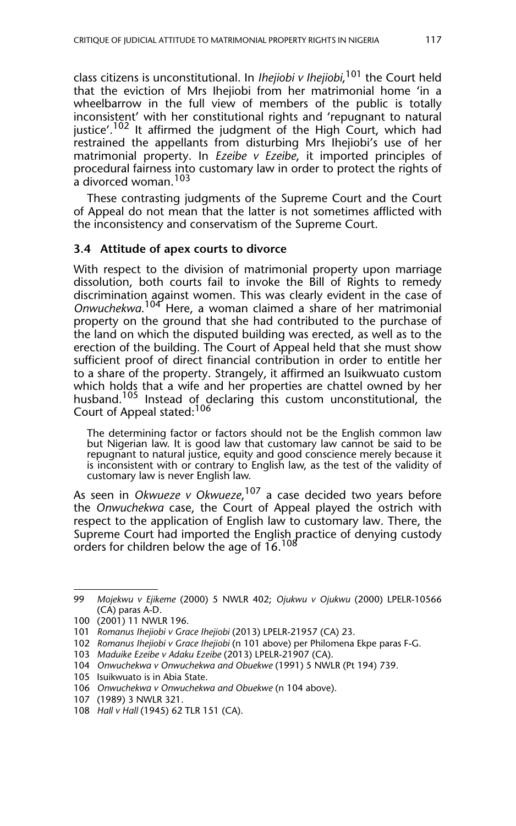class citizens is unconstitutional. In *Ihejiobi v Ihejiobi*, 101 the Court held that the eviction of Mrs Ihejiobi from her matrimonial home 'in a wheelbarrow in the full view of members of the public is totally inconsistent' with her constitutional rights and 'repugnant to natural justice'.<sup>102</sup> It affirmed the judgment of the High Court, which had restrained the appellants from disturbing Mrs Ihejiobi's use of her matrimonial property. In *Ezeibe v Ezeibe*, it imported principles of procedural fairness into customary law in order to protect the rights of a divorced woman.<sup>103</sup>

These contrasting judgments of the Supreme Court and the Court of Appeal do not mean that the latter is not sometimes afflicted with the inconsistency and conservatism of the Supreme Court.

#### **3.4 Attitude of apex courts to divorce**

With respect to the division of matrimonial property upon marriage dissolution, both courts fail to invoke the Bill of Rights to remedy discrimination against women. This was clearly evident in the case of *Onwuchekwa*. 104 Here, a woman claimed a share of her matrimonial property on the ground that she had contributed to the purchase of the land on which the disputed building was erected, as well as to the erection of the building. The Court of Appeal held that she must show sufficient proof of direct financial contribution in order to entitle her to a share of the property. Strangely, it affirmed an Isuikwuato custom which holds that a wife and her properties are chattel owned by her husband.<sup>105</sup> Instead of declaring this custom unconstitutional, the Court of Appeal stated:<sup>106</sup>

The determining factor or factors should not be the English common law but Nigerian law. It is good law that customary law cannot be said to be repugnant to natural justice, equity and good conscience merely because it is inconsistent with or contrary to English law, as the test of the validity of customary law is never English law.

As seen in *Okwueze v Okwueze*, 107 a case decided two years before the *Onwuchekwa* case, the Court of Appeal played the ostrich with respect to the application of English law to customary law. There, the Supreme Court had imported the English practice of denying custody orders for children below the age of  $16.^{108}$ 

<sup>99</sup> *Mojekwu v Ejikeme* (2000) 5 NWLR 402; *Ojukwu v Ojukwu* (2000) LPELR-10566 (CA) paras A-D.

<sup>100 (2001) 11</sup> NWLR 196.

<sup>101</sup> *Romanus Ihejiobi v Grace Ihejiobi* (2013) LPELR-21957 (CA) 23.

<sup>102</sup> *Romanus Ihejiobi v Grace Ihejiobi* (n 101 above) per Philomena Ekpe paras F-G.

<sup>103</sup> *Maduike Ezeibe v Adaku Ezeibe* (2013) LPELR-21907 (CA).

<sup>104</sup> *Onwuchekwa v Onwuchekwa and Obuekwe* (1991) 5 NWLR (Pt 194) 739.

<sup>105</sup> Isuikwuato is in Abia State.

<sup>106</sup> *Onwuchekwa v Onwuchekwa and Obuekwe* (n 104 above).

<sup>107 (1989) 3</sup> NWLR 321.

<sup>108</sup> *Hall v Hall* (1945) 62 TLR 151 (CA).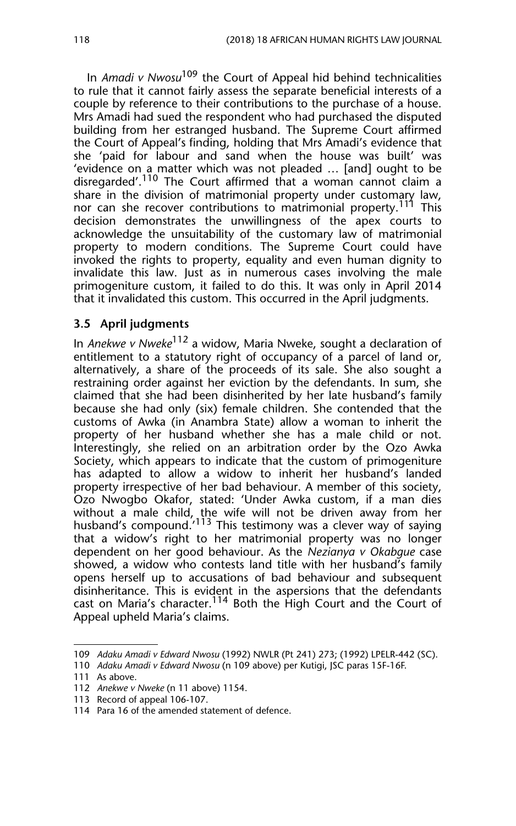In *Amadi v Nwosu*109 the Court of Appeal hid behind technicalities to rule that it cannot fairly assess the separate beneficial interests of a couple by reference to their contributions to the purchase of a house. Mrs Amadi had sued the respondent who had purchased the disputed building from her estranged husband. The Supreme Court affirmed the Court of Appeal's finding, holding that Mrs Amadi's evidence that she 'paid for labour and sand when the house was built' was 'evidence on a matter which was not pleaded … [and] ought to be disregarded'.110 The Court affirmed that a woman cannot claim a share in the division of matrimonial property under customary law, nor can she recover contributions to matrimonial property.<sup>111</sup> This decision demonstrates the unwillingness of the apex courts to acknowledge the unsuitability of the customary law of matrimonial property to modern conditions. The Supreme Court could have invoked the rights to property, equality and even human dignity to invalidate this law. Just as in numerous cases involving the male primogeniture custom, it failed to do this. It was only in April 2014 that it invalidated this custom. This occurred in the April judgments.

#### **3.5 April judgments**

In *Anekwe v Nweke*112 a widow, Maria Nweke, sought a declaration of entitlement to a statutory right of occupancy of a parcel of land or, alternatively, a share of the proceeds of its sale. She also sought a restraining order against her eviction by the defendants. In sum, she claimed that she had been disinherited by her late husband's family because she had only (six) female children. She contended that the customs of Awka (in Anambra State) allow a woman to inherit the property of her husband whether she has a male child or not. Interestingly, she relied on an arbitration order by the Ozo Awka Society, which appears to indicate that the custom of primogeniture has adapted to allow a widow to inherit her husband's landed property irrespective of her bad behaviour. A member of this society, Ozo Nwogbo Okafor, stated: 'Under Awka custom, if a man dies without a male child, the wife will not be driven away from her husband's compound.<sup>'113</sup> This testimony was a clever way of saying that a widow's right to her matrimonial property was no longer dependent on her good behaviour. As the *Nezianya v Okabgue* case showed, a widow who contests land title with her husband's family opens herself up to accusations of bad behaviour and subsequent disinheritance. This is evident in the aspersions that the defendants cast on Maria's character.<sup>114</sup> Both the High Court and the Court of Appeal upheld Maria's claims.

<sup>109</sup> *Adaku Amadi v Edward Nwosu* (1992) NWLR (Pt 241) 273; (1992) LPELR-442 (SC).

<sup>110</sup> *Adaku Amadi v Edward Nwosu* (n 109 above) per Kutigi, JSC paras 15F-16F.

<sup>111</sup> As above.

<sup>112</sup> *Anekwe v Nweke* (n 11 above) 1154.

<sup>113</sup> Record of appeal 106-107.

<sup>114</sup> Para 16 of the amended statement of defence.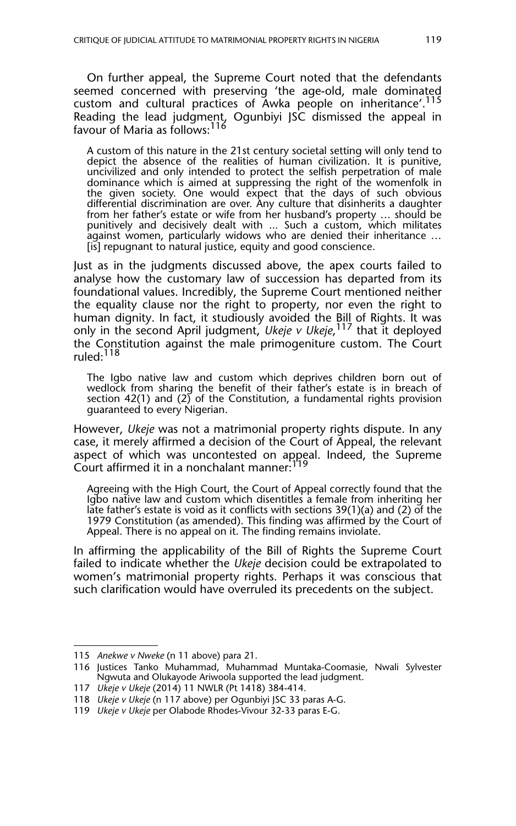On further appeal, the Supreme Court noted that the defendants seemed concerned with preserving 'the age-old, male dominated custom and cultural practices of Awka people on inheritance'.<sup>115</sup> Reading the lead judgment, Ogunbiyi JSC dismissed the appeal in favour of Maria as follows:<sup>116</sup>

A custom of this nature in the 21st century societal setting will only tend to depict the absence of the realities of human civilization. It is punitive, uncivilized and only intended to protect the selfish perpetration of male dominance which is aimed at suppressing the right of the womenfolk in the given society. One would expect that the days of such obvious differential discrimination are over. Any culture that disinherits a daughter from her father's estate or wife from her husband's property … should be punitively and decisively dealt with ... Such a custom, which militates against women, particularly widows who are denied their inheritance … [is] repugnant to natural justice, equity and good conscience.

Just as in the judgments discussed above, the apex courts failed to analyse how the customary law of succession has departed from its foundational values. Incredibly, the Supreme Court mentioned neither the equality clause nor the right to property, nor even the right to human dignity. In fact, it studiously avoided the Bill of Rights. It was only in the second April judgment, *Ukeje v Ukeje*, 117 that it deployed the Constitution against the male primogeniture custom. The Court ruled:<sup>118</sup>

The Igbo native law and custom which deprives children born out of wedlock from sharing the benefit of their father's estate is in breach of section 42(1) and (2) of the Constitution, a fundamental rights provision guaranteed to every Nigerian.

However, *Ukeje* was not a matrimonial property rights dispute. In any case, it merely affirmed a decision of the Court of Appeal, the relevant aspect of which was uncontested on appeal. Indeed, the Supreme Court affirmed it in a nonchalant manner: $1$ 

Agreeing with the High Court, the Court of Appeal correctly found that the Igbo native law and custom which disentitles a female from inheriting her late father's estate is void as it conflicts with sections 39(1)(a) and (2) of the 1979 Constitution (as amended). This finding was affirmed by the Court of Appeal. There is no appeal on it. The finding remains inviolate.

In affirming the applicability of the Bill of Rights the Supreme Court failed to indicate whether the *Ukeje* decision could be extrapolated to women's matrimonial property rights. Perhaps it was conscious that such clarification would have overruled its precedents on the subject.

<sup>115</sup> *Anekwe v Nweke* (n 11 above) para 21.

<sup>116</sup> Justices Tanko Muhammad, Muhammad Muntaka-Coomasie, Nwali Sylvester Ngwuta and Olukayode Ariwoola supported the lead judgment.

<sup>117</sup> *Ukeje v Ukeje* (2014) 11 NWLR (Pt 1418) 384-414.

<sup>118</sup> *Ukeje v Ukeje* (n 117 above) per Ogunbiyi JSC 33 paras A-G.

<sup>119</sup> *Ukeje v Ukeje* per Olabode Rhodes-Vivour 32-33 paras E-G.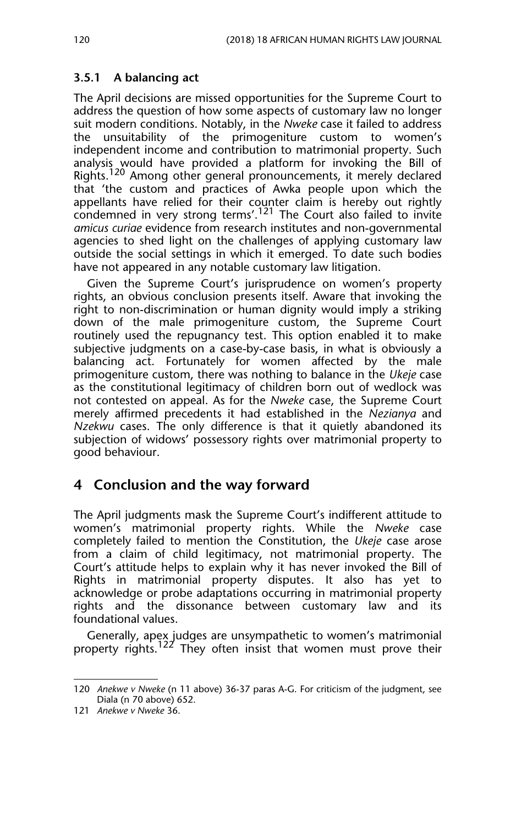## **3.5.1 A balancing act**

The April decisions are missed opportunities for the Supreme Court to address the question of how some aspects of customary law no longer suit modern conditions. Notably, in the *Nweke* case it failed to address the unsuitability of the primogeniture custom to women's independent income and contribution to matrimonial property. Such analysis would have provided a platform for invoking the Bill of Rights.<sup>120</sup> Among other general pronouncements, it merely declared that 'the custom and practices of Awka people upon which the appellants have relied for their counter claim is hereby out rightly condemned in very strong terms'.<sup>121</sup> The Court also failed to invite *amicus curiae* evidence from research institutes and non-governmental agencies to shed light on the challenges of applying customary law outside the social settings in which it emerged. To date such bodies have not appeared in any notable customary law litigation.

Given the Supreme Court's jurisprudence on women's property rights, an obvious conclusion presents itself. Aware that invoking the right to non-discrimination or human dignity would imply a striking down of the male primogeniture custom, the Supreme Court routinely used the repugnancy test. This option enabled it to make subjective judgments on a case-by-case basis, in what is obviously a balancing act. Fortunately for women affected by the male primogeniture custom, there was nothing to balance in the *Ukeje* case as the constitutional legitimacy of children born out of wedlock was not contested on appeal. As for the *Nweke* case, the Supreme Court merely affirmed precedents it had established in the *Nezianya* and *Nzekwu* cases. The only difference is that it quietly abandoned its subjection of widows' possessory rights over matrimonial property to good behaviour.

## **4 Conclusion and the way forward**

The April judgments mask the Supreme Court's indifferent attitude to women's matrimonial property rights. While the *Nweke* case completely failed to mention the Constitution, the *Ukeje* case arose from a claim of child legitimacy, not matrimonial property. The Court's attitude helps to explain why it has never invoked the Bill of Rights in matrimonial property disputes. It also has yet to acknowledge or probe adaptations occurring in matrimonial property rights and the dissonance between customary law and its foundational values.

Generally, apex judges are unsympathetic to women's matrimonial property rights.<sup>122</sup> They often insist that women must prove their

<sup>120</sup> *Anekwe v Nweke* (n 11 above) 36-37 paras A-G. For criticism of the judgment, see Diala (n 70 above) 652.

<sup>121</sup> *Anekwe v Nweke* 36.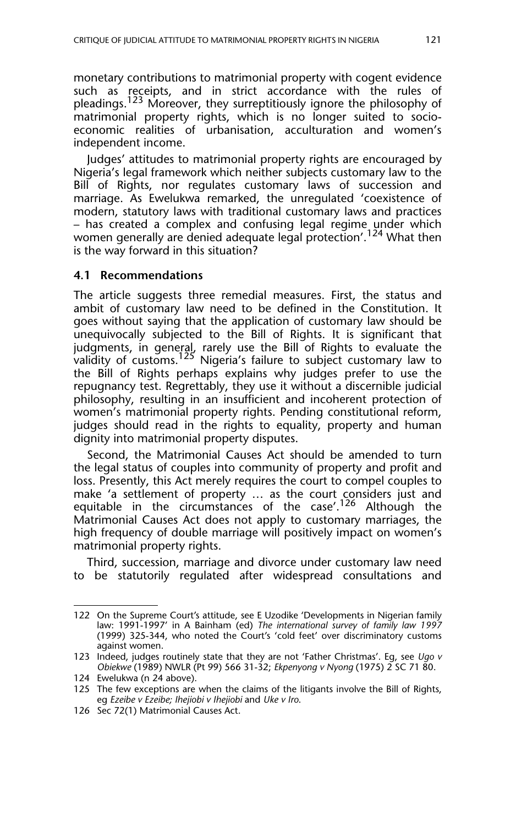monetary contributions to matrimonial property with cogent evidence such as receipts, and in strict accordance with the rules of pleadings.<sup>123</sup> Moreover, they surreptitiously ignore the philosophy of matrimonial property rights, which is no longer suited to socioeconomic realities of urbanisation, acculturation and women's independent income.

Judges' attitudes to matrimonial property rights are encouraged by Nigeria's legal framework which neither subjects customary law to the Bill of Rights, nor regulates customary laws of succession and marriage. As Ewelukwa remarked, the unregulated 'coexistence of modern, statutory laws with traditional customary laws and practices – has created a complex and confusing legal regime under which women generally are denied adequate legal protection'.<sup>124</sup> What then is the way forward in this situation?

#### **4.1 Recommendations**

The article suggests three remedial measures. First, the status and ambit of customary law need to be defined in the Constitution. It goes without saying that the application of customary law should be unequivocally subjected to the Bill of Rights. It is significant that judgments, in general, rarely use the Bill of Rights to evaluate the validity of customs. $^{125}$  Nigeria's failure to subject customary law to the Bill of Rights perhaps explains why judges prefer to use the repugnancy test. Regrettably, they use it without a discernible judicial philosophy, resulting in an insufficient and incoherent protection of women's matrimonial property rights. Pending constitutional reform, judges should read in the rights to equality, property and human dignity into matrimonial property disputes.

Second, the Matrimonial Causes Act should be amended to turn the legal status of couples into community of property and profit and loss. Presently, this Act merely requires the court to compel couples to make 'a settlement of property … as the court considers just and equitable in the circumstances of the case'.<sup>126</sup> Although the Matrimonial Causes Act does not apply to customary marriages, the high frequency of double marriage will positively impact on women's matrimonial property rights.

Third, succession, marriage and divorce under customary law need to be statutorily regulated after widespread consultations and

<sup>122</sup> On the Supreme Court's attitude, see E Uzodike 'Developments in Nigerian family law: 1991-1997' in A Bainham (ed) *The international survey of family law 1997* (1999) 325-344, who noted the Court's 'cold feet' over discriminatory customs against women.

<sup>123</sup> Indeed, judges routinely state that they are not 'Father Christmas'. Eg, see *Ugo v Obiekwe* (1989) NWLR (Pt 99) 566 31-32; *Ekpenyong v Nyong* (1975) 2 SC 71 80.

<sup>124</sup> Ewelukwa (n 24 above).

<sup>125</sup> The few exceptions are when the claims of the litigants involve the Bill of Rights, eg *Ezeibe v Ezeibe; Ihejiobi v Ihejiobi* and *Uke v Iro*.

<sup>126</sup> Sec 72(1) Matrimonial Causes Act.